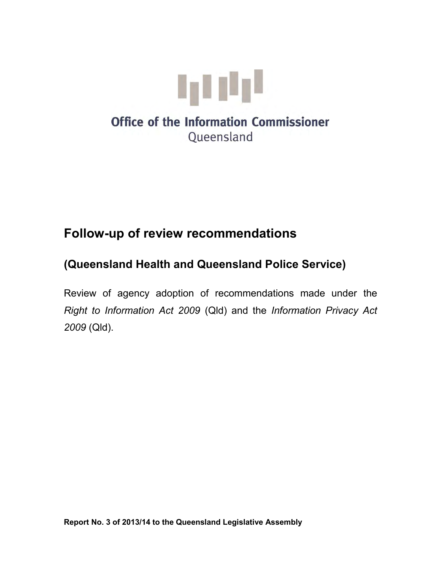

# **Follow-up of review recommendations**

# **(Queensland Health and Queensland Police Service)**

Review of agency adoption of recommendations made under the *Right to Information Act 2009* (Qld) and the *Information Privacy Act 2009* (Qld).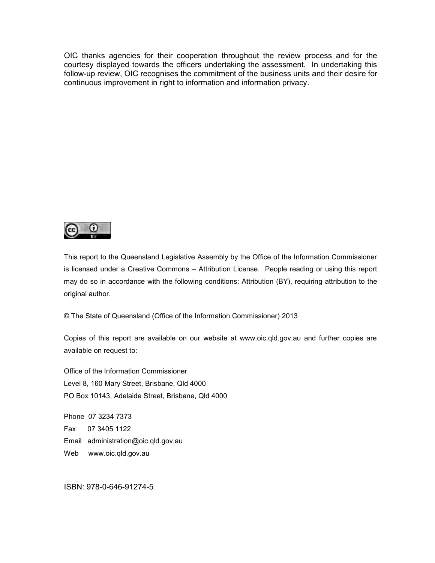OIC thanks agencies for their cooperation throughout the review process and for the courtesy displayed towards the officers undertaking the assessment. In undertaking this follow-up review, OIC recognises the commitment of the business units and their desire for continuous improvement in right to information and information privacy.



This report to the Queensland Legislative Assembly by the Office of the Information Commissioner is licensed under a Creative Commons – Attribution License. People reading or using this report may do so in accordance with the following conditions: Attribution (BY), requiring attribution to the original author.

© The State of Queensland (Office of the Information Commissioner) 2013

Copies of this report are available on our website at www.oic.qld.gov.au and further copies are available on request to:

Office of the Information Commissioner Level 8, 160 Mary Street, Brisbane, Qld 4000 PO Box 10143, Adelaide Street, Brisbane, Qld 4000

Phone 07 3234 7373 Fax 07 3405 1122 Email administration@oic.qld.gov.au Web [www.oic.qld.gov.au](http://www.oic.qld.gov.au/)

ISBN: 978-0-646-91274-5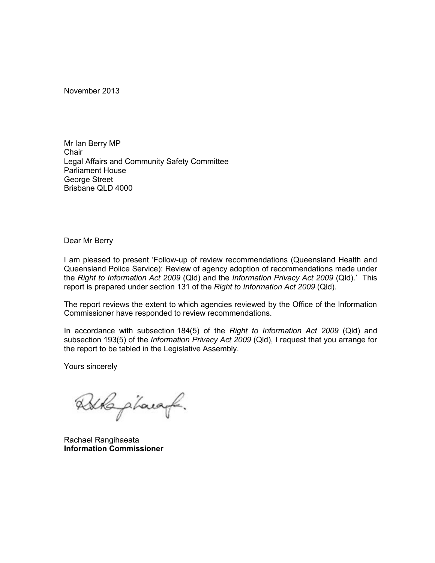November 2013

Mr Ian Berry MP **Chair** Legal Affairs and Community Safety Committee Parliament House George Street Brisbane QLD 4000

Dear Mr Berry

I am pleased to present 'Follow-up of review recommendations (Queensland Health and Queensland Police Service): Review of agency adoption of recommendations made under the *Right to Information Act 2009* (Qld) and the *Information Privacy Act 2009* (Qld).' This report is prepared under section 131 of the *Right to Information Act 2009* (Qld).

The report reviews the extent to which agencies reviewed by the Office of the Information Commissioner have responded to review recommendations.

In accordance with subsection 184(5) of the *Right to Information Act 2009* (Qld) and subsection 193(5) of the *Information Privacy Act 2009* (Qld), I request that you arrange for the report to be tabled in the Legislative Assembly.

Yours sincerely

Atkapharaf.

Rachael Rangihaeata **Information Commissioner**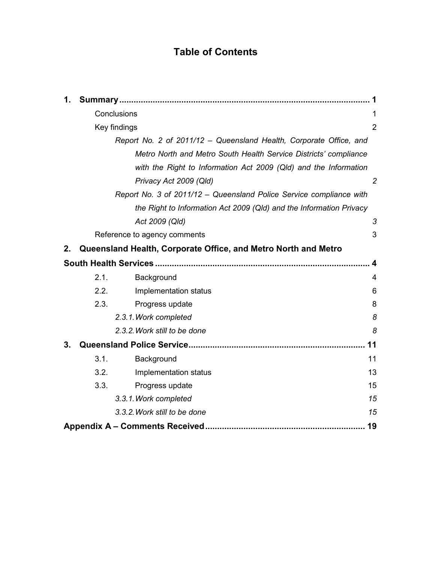## **Table of Contents**

| 1. |                                                                    |                                                                     |                |  |  |
|----|--------------------------------------------------------------------|---------------------------------------------------------------------|----------------|--|--|
|    | Conclusions                                                        |                                                                     | 1              |  |  |
|    | Key findings                                                       |                                                                     |                |  |  |
|    | Report No. 2 of 2011/12 - Queensland Health, Corporate Office, and |                                                                     |                |  |  |
|    |                                                                    | Metro North and Metro South Health Service Districts' compliance    |                |  |  |
|    |                                                                    | with the Right to Information Act 2009 (QId) and the Information    |                |  |  |
|    |                                                                    | Privacy Act 2009 (Qld)                                              | $\overline{2}$ |  |  |
|    |                                                                    | Report No. 3 of 2011/12 - Queensland Police Service compliance with |                |  |  |
|    |                                                                    | the Right to Information Act 2009 (QId) and the Information Privacy |                |  |  |
|    |                                                                    | Act 2009 (Qld)                                                      | 3              |  |  |
|    |                                                                    | Reference to agency comments                                        | 3              |  |  |
| 2. |                                                                    | Queensland Health, Corporate Office, and Metro North and Metro      |                |  |  |
|    |                                                                    |                                                                     | 4              |  |  |
|    | 2.1.                                                               | Background                                                          | 4              |  |  |
|    | 2.2.                                                               | Implementation status                                               | 6              |  |  |
|    | 2.3.                                                               | Progress update                                                     | 8              |  |  |
|    |                                                                    | 2.3.1. Work completed                                               | 8              |  |  |
|    |                                                                    | 2.3.2. Work still to be done                                        | 8              |  |  |
| 3. |                                                                    |                                                                     | 11             |  |  |
|    | 3.1.                                                               | Background                                                          | 11             |  |  |
|    | 3.2.                                                               | Implementation status                                               | 13             |  |  |
|    | 3.3.                                                               | Progress update                                                     | 15             |  |  |
|    |                                                                    | 3.3.1. Work completed                                               | 15             |  |  |
|    |                                                                    | 3.3.2. Work still to be done                                        | 15             |  |  |
|    |                                                                    |                                                                     | 19             |  |  |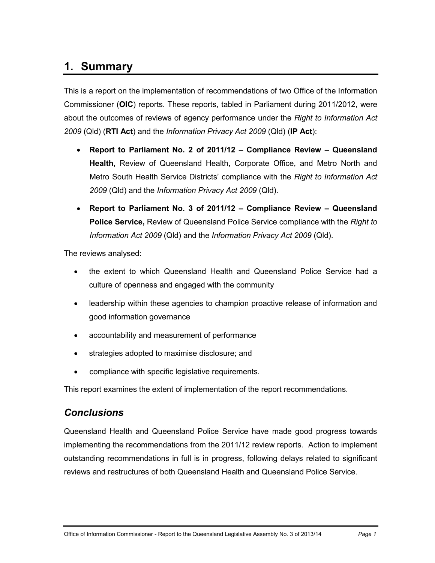# <span id="page-6-0"></span>**1. Summary**

This is a report on the implementation of recommendations of two Office of the Information Commissioner (**OIC**) reports. These reports, tabled in Parliament during 2011/2012, were about the outcomes of reviews of agency performance under the *Right to Information Act 2009* (Qld) (**RTI Act**) and the *Information Privacy Act 2009* (Qld) (**IP Act**):

- **Report to Parliament No. 2 of 2011/12 Compliance Review Queensland Health,** Review of Queensland Health, Corporate Office, and Metro North and Metro South Health Service Districts' compliance with the *Right to Information Act 2009* (Qld) and the *Information Privacy Act 2009* (Qld).
- **Report to Parliament No. 3 of 2011/12** **Compliance Review Queensland Police Service,** Review of Queensland Police Service compliance with the *Right to Information Act 2009* (Qld) and the *Information Privacy Act 2009* (Qld).

The reviews analysed:

- the extent to which Queensland Health and Queensland Police Service had a culture of openness and engaged with the community
- leadership within these agencies to champion proactive release of information and good information governance
- accountability and measurement of performance
- strategies adopted to maximise disclosure; and
- compliance with specific legislative requirements.

This report examines the extent of implementation of the report recommendations.

### <span id="page-6-1"></span>*Conclusions*

Queensland Health and Queensland Police Service have made good progress towards implementing the recommendations from the 2011/12 review reports. Action to implement outstanding recommendations in full is in progress, following delays related to significant reviews and restructures of both Queensland Health and Queensland Police Service.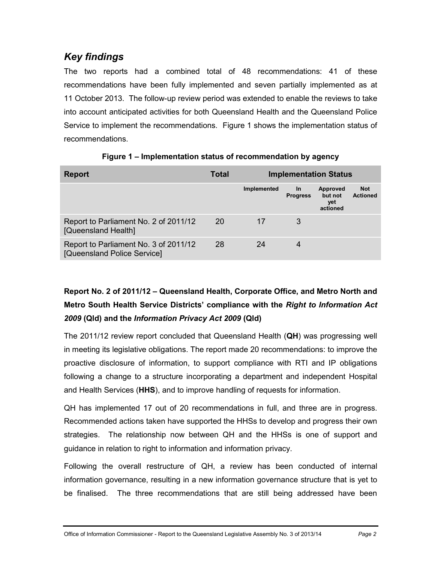## <span id="page-7-0"></span>*Key findings*

The two reports had a combined total of 48 recommendations: 41 of these recommendations have been fully implemented and seven partially implemented as at 11 October 2013. The follow-up review period was extended to enable the reviews to take into account anticipated activities for both Queensland Health and the Queensland Police Service to implement the recommendations. Figure 1 shows the implementation status of recommendations.

| <b>Report</b>                                                        | Total |             |                              | <b>Implementation Status</b>                  |                               |
|----------------------------------------------------------------------|-------|-------------|------------------------------|-----------------------------------------------|-------------------------------|
|                                                                      |       | Implemented | <u>In</u><br><b>Progress</b> | <b>Approved</b><br>but not<br>yet<br>actioned | <b>Not</b><br><b>Actioned</b> |
| Report to Parliament No. 2 of 2011/12<br>[Queensland Health]         | 20    | 17          | 3                            |                                               |                               |
| Report to Parliament No. 3 of 2011/12<br>[Queensland Police Service] | 28    | 24          | 4                            |                                               |                               |

**Figure 1 – Implementation status of recommendation by agency**

## <span id="page-7-1"></span>**Report No. 2 of 2011/12 – Queensland Health, Corporate Office, and Metro North and Metro South Health Service Districts' compliance with the** *Right to Information Act 2009* **(Qld) and the** *Information Privacy Act 2009* **(Qld)**

The 2011/12 review report concluded that Queensland Health (**QH**) was progressing well in meeting its legislative obligations. The report made 20 recommendations: to improve the proactive disclosure of information, to support compliance with RTI and IP obligations following a change to a structure incorporating a department and independent Hospital and Health Services (**HHS**), and to improve handling of requests for information.

QH has implemented 17 out of 20 recommendations in full, and three are in progress. Recommended actions taken have supported the HHSs to develop and progress their own strategies. The relationship now between QH and the HHSs is one of support and guidance in relation to right to information and information privacy.

Following the overall restructure of QH, a review has been conducted of internal information governance, resulting in a new information governance structure that is yet to be finalised. The three recommendations that are still being addressed have been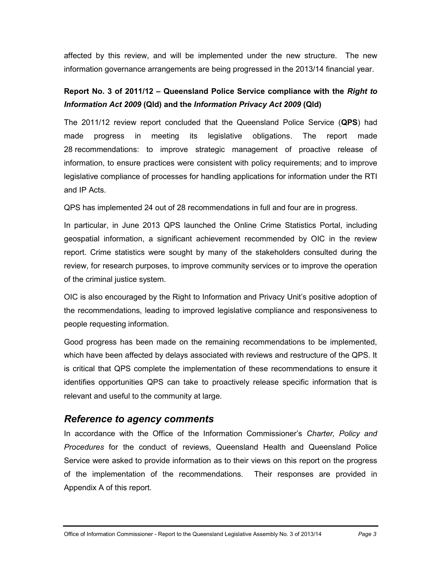affected by this review, and will be implemented under the new structure. The new information governance arrangements are being progressed in the 2013/14 financial year.

## <span id="page-8-0"></span>**Report No. 3 of 2011/12 – Queensland Police Service compliance with the** *Right to Information Act 2009* **(Qld) and the** *Information Privacy Act 2009* **(Qld)**

The 2011/12 review report concluded that the Queensland Police Service (**QPS**) had made progress in meeting its legislative obligations. The report made 28 recommendations: to improve strategic management of proactive release of information, to ensure practices were consistent with policy requirements; and to improve legislative compliance of processes for handling applications for information under the RTI and IP Acts.

QPS has implemented 24 out of 28 recommendations in full and four are in progress.

In particular, in June 2013 QPS launched the Online Crime Statistics Portal, including geospatial information, a significant achievement recommended by OIC in the review report. Crime statistics were sought by many of the stakeholders consulted during the review, for research purposes, to improve community services or to improve the operation of the criminal justice system.

OIC is also encouraged by the Right to Information and Privacy Unit's positive adoption of the recommendations, leading to improved legislative compliance and responsiveness to people requesting information.

Good progress has been made on the remaining recommendations to be implemented, which have been affected by delays associated with reviews and restructure of the QPS. It is critical that QPS complete the implementation of these recommendations to ensure it identifies opportunities QPS can take to proactively release specific information that is relevant and useful to the community at large.

### <span id="page-8-1"></span>*Reference to agency comments*

In accordance with the Office of the Information Commissioner's *Charter, Policy and Procedures* for the conduct of reviews, Queensland Health and Queensland Police Service were asked to provide information as to their views on this report on the progress of the implementation of the recommendations. Their responses are provided in Appendix A of this report.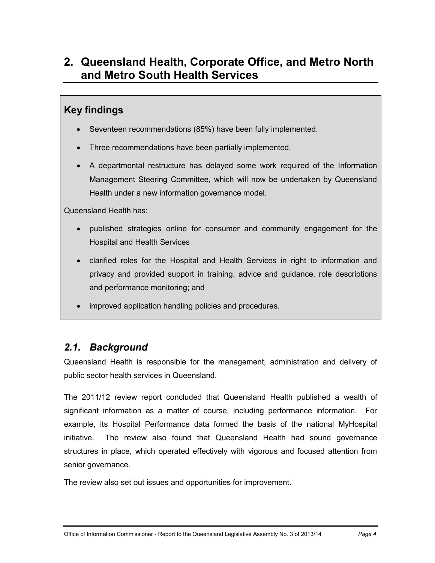# <span id="page-9-0"></span>**2. Queensland Health, Corporate Office, and Metro North and Metro South Health Services**

## **Key findings**

- Seventeen recommendations (85%) have been fully implemented.
- Three recommendations have been partially implemented.
- A departmental restructure has delayed some work required of the Information Management Steering Committee, which will now be undertaken by Queensland Health under a new information governance model.

Queensland Health has:

- published strategies online for consumer and community engagement for the Hospital and Health Services
- clarified roles for the Hospital and Health Services in right to information and privacy and provided support in training, advice and guidance, role descriptions and performance monitoring; and
- improved application handling policies and procedures.

## <span id="page-9-1"></span>*2.1. Background*

Queensland Health is responsible for the management, administration and delivery of public sector health services in Queensland.

The 2011/12 review report concluded that Queensland Health published a wealth of significant information as a matter of course, including performance information. For example, its Hospital Performance data formed the basis of the national MyHospital initiative. The review also found that Queensland Health had sound governance structures in place, which operated effectively with vigorous and focused attention from senior governance.

The review also set out issues and opportunities for improvement.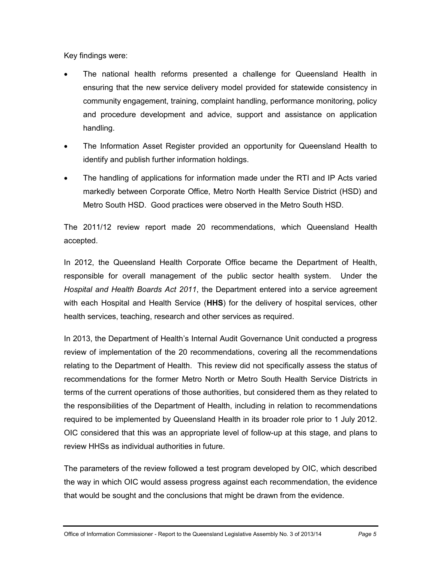Key findings were:

- The national health reforms presented a challenge for Queensland Health in ensuring that the new service delivery model provided for statewide consistency in community engagement, training, complaint handling, performance monitoring, policy and procedure development and advice, support and assistance on application handling.
- The Information Asset Register provided an opportunity for Queensland Health to identify and publish further information holdings.
- The handling of applications for information made under the RTI and IP Acts varied markedly between Corporate Office, Metro North Health Service District (HSD) and Metro South HSD. Good practices were observed in the Metro South HSD.

The 2011/12 review report made 20 recommendations, which Queensland Health accepted.

In 2012, the Queensland Health Corporate Office became the Department of Health, responsible for overall management of the public sector health system. Under the *Hospital and Health Boards Act 2011*, the Department entered into a service agreement with each Hospital and Health Service (**HHS**) for the delivery of hospital services, other health services, teaching, research and other services as required.

In 2013, the Department of Health's Internal Audit Governance Unit conducted a progress review of implementation of the 20 recommendations, covering all the recommendations relating to the Department of Health. This review did not specifically assess the status of recommendations for the former Metro North or Metro South Health Service Districts in terms of the current operations of those authorities, but considered them as they related to the responsibilities of the Department of Health, including in relation to recommendations required to be implemented by Queensland Health in its broader role prior to 1 July 2012. OIC considered that this was an appropriate level of follow-up at this stage, and plans to review HHSs as individual authorities in future.

The parameters of the review followed a test program developed by OIC, which described the way in which OIC would assess progress against each recommendation, the evidence that would be sought and the conclusions that might be drawn from the evidence.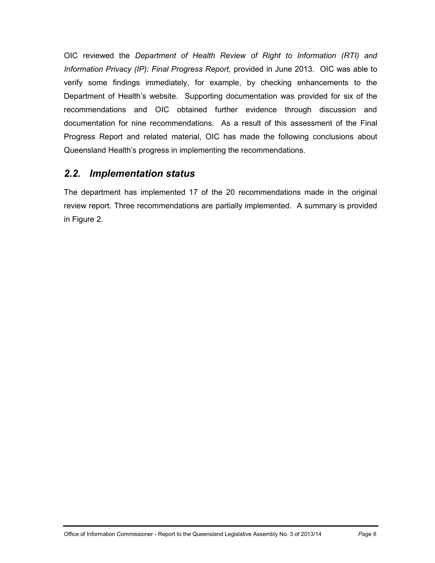OIC reviewed the *Department of Health Review of Right to Information (RTI) and Information Privacy (IP): Final Progress Report,* provided in June 2013. OIC was able to verify some findings immediately, for example, by checking enhancements to the Department of Health's website. Supporting documentation was provided for six of the recommendations and OIC obtained further evidence through discussion and documentation for nine recommendations. As a result of this assessment of the Final Progress Report and related material, OIC has made the following conclusions about Queensland Health's progress in implementing the recommendations.

## <span id="page-11-0"></span>*2.2. Implementation status*

The department has implemented 17 of the 20 recommendations made in the original review report. Three recommendations are partially implemented. A summary is provided in Figure 2.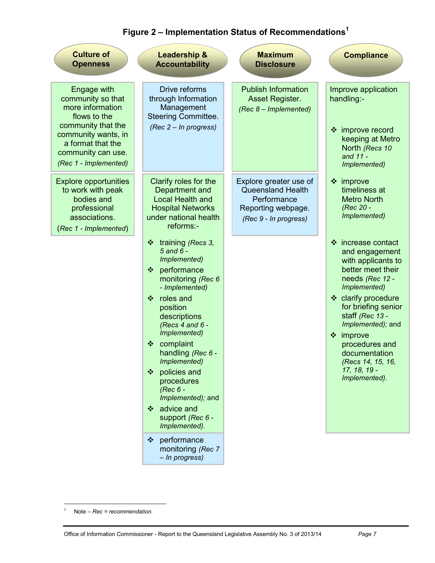| <b>Culture of</b><br><b>Openness</b>                                                                                                                                                  | <b>Leadership &amp;</b><br><b>Accountability</b>                                                                                                                                                                                                                                                                                                                            | <b>Maximum</b><br><b>Disclosure</b>                                                                              | <b>Compliance</b>                                                                                                                                                                                                                                                                                                   |
|---------------------------------------------------------------------------------------------------------------------------------------------------------------------------------------|-----------------------------------------------------------------------------------------------------------------------------------------------------------------------------------------------------------------------------------------------------------------------------------------------------------------------------------------------------------------------------|------------------------------------------------------------------------------------------------------------------|---------------------------------------------------------------------------------------------------------------------------------------------------------------------------------------------------------------------------------------------------------------------------------------------------------------------|
| Engage with<br>community so that<br>more information<br>flows to the<br>community that the<br>community wants, in<br>a format that the<br>community can use.<br>(Rec 1 - Implemented) | Drive reforms<br>through Information<br>Management<br><b>Steering Committee.</b><br>(Rec 2 – In progress)                                                                                                                                                                                                                                                                   | <b>Publish Information</b><br>Asset Register.<br>(Rec 8 - Implemented)                                           | Improve application<br>handling:-<br>❖ improve record<br>keeping at Metro<br>North (Recs 10<br>and 11 -<br>Implemented)                                                                                                                                                                                             |
| <b>Explore opportunities</b><br>to work with peak<br>bodies and<br>professional<br>associations.<br>(Rec 1 - Implemented)                                                             | Clarify roles for the<br>Department and<br><b>Local Health and</b><br><b>Hospital Networks</b><br>under national health<br>reforms:-                                                                                                                                                                                                                                        | Explore greater use of<br><b>Queensland Health</b><br>Performance<br>Reporting webpage.<br>(Rec 9 - In progress) | $\div$ improve<br>timeliness at<br><b>Metro North</b><br>(Rec 20 -<br>Implemented)                                                                                                                                                                                                                                  |
|                                                                                                                                                                                       | ❖ training (Recs 3,<br>$5$ and $6$ -<br>Implemented)<br>❖ performance<br>monitoring (Rec 6<br>- Implemented)<br>roles and<br>÷<br>position<br>descriptions<br>(Recs $4$ and $6 -$<br>Implemented)<br>❖ complaint<br>handling (Rec 6 -<br>Implemented)<br>❖ policies and<br>procedures<br>(Rec 6 -<br>Implemented); and<br>❖ advice and<br>support (Rec 6 -<br>Implemented). |                                                                                                                  | ❖ increase contact<br>and engagement<br>with applicants to<br>better meet their<br>needs (Rec 12 -<br>Implemented)<br>❖ clarify procedure<br>for briefing senior<br>staff (Rec 13 -<br>Implemented); and<br>$\div$ improve<br>procedures and<br>documentation<br>(Recs 14, 15, 16,<br>17, 18, 19 -<br>Implemented). |
|                                                                                                                                                                                       | performance<br>❖<br>monitoring (Rec 7<br>- In progress)                                                                                                                                                                                                                                                                                                                     |                                                                                                                  |                                                                                                                                                                                                                                                                                                                     |

# **Figure 2 – Implementation Status of Recommendations<sup>1</sup>**

 $\overline{a}$ 

<sup>1</sup> Note – *Rec = recommendation.*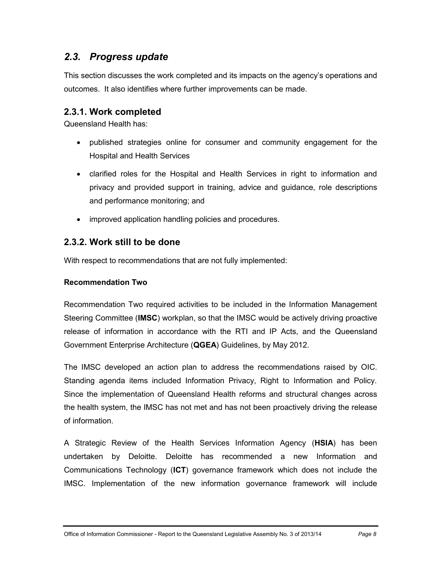## <span id="page-13-0"></span>*2.3. Progress update*

This section discusses the work completed and its impacts on the agency's operations and outcomes. It also identifies where further improvements can be made.

### <span id="page-13-1"></span>**2.3.1. Work completed**

Queensland Health has:

- published strategies online for consumer and community engagement for the Hospital and Health Services
- clarified roles for the Hospital and Health Services in right to information and privacy and provided support in training, advice and guidance, role descriptions and performance monitoring; and
- improved application handling policies and procedures.

### <span id="page-13-2"></span>**2.3.2. Work still to be done**

With respect to recommendations that are not fully implemented:

#### **Recommendation Two**

Recommendation Two required activities to be included in the Information Management Steering Committee (**IMSC**) workplan, so that the IMSC would be actively driving proactive release of information in accordance with the RTI and IP Acts, and the Queensland Government Enterprise Architecture (**QGEA**) Guidelines, by May 2012.

The IMSC developed an action plan to address the recommendations raised by OIC. Standing agenda items included Information Privacy, Right to Information and Policy. Since the implementation of Queensland Health reforms and structural changes across the health system, the IMSC has not met and has not been proactively driving the release of information.

A Strategic Review of the Health Services Information Agency (**HSIA**) has been undertaken by Deloitte. Deloitte has recommended a new Information and Communications Technology (**ICT**) governance framework which does not include the IMSC. Implementation of the new information governance framework will include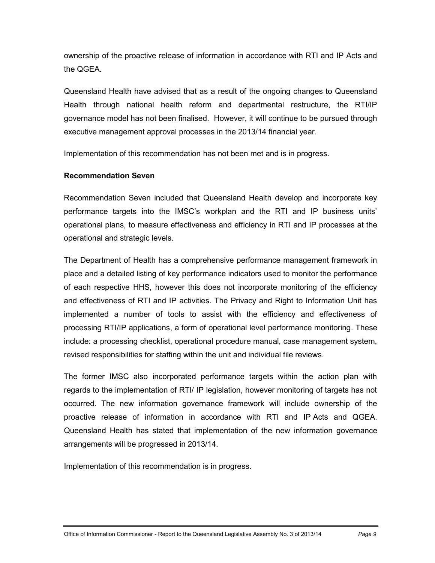ownership of the proactive release of information in accordance with RTI and IP Acts and the QGEA.

Queensland Health have advised that as a result of the ongoing changes to Queensland Health through national health reform and departmental restructure, the RTI/IP governance model has not been finalised. However, it will continue to be pursued through executive management approval processes in the 2013/14 financial year.

Implementation of this recommendation has not been met and is in progress.

#### **Recommendation Seven**

Recommendation Seven included that Queensland Health develop and incorporate key performance targets into the IMSC's workplan and the RTI and IP business units' operational plans, to measure effectiveness and efficiency in RTI and IP processes at the operational and strategic levels.

The Department of Health has a comprehensive performance management framework in place and a detailed listing of key performance indicators used to monitor the performance of each respective HHS, however this does not incorporate monitoring of the efficiency and effectiveness of RTI and IP activities. The Privacy and Right to Information Unit has implemented a number of tools to assist with the efficiency and effectiveness of processing RTI/IP applications, a form of operational level performance monitoring. These include: a processing checklist, operational procedure manual, case management system, revised responsibilities for staffing within the unit and individual file reviews.

The former IMSC also incorporated performance targets within the action plan with regards to the implementation of RTI/ IP legislation, however monitoring of targets has not occurred. The new information governance framework will include ownership of the proactive release of information in accordance with RTI and IP Acts and QGEA. Queensland Health has stated that implementation of the new information governance arrangements will be progressed in 2013/14.

Implementation of this recommendation is in progress.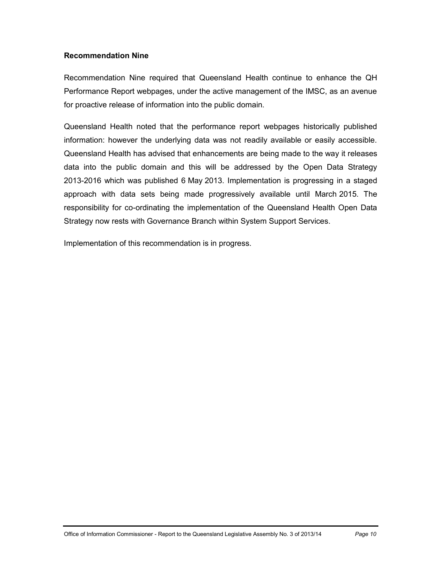#### **Recommendation Nine**

Recommendation Nine required that Queensland Health continue to enhance the QH Performance Report webpages, under the active management of the IMSC, as an avenue for proactive release of information into the public domain.

Queensland Health noted that the performance report webpages historically published information: however the underlying data was not readily available or easily accessible. Queensland Health has advised that enhancements are being made to the way it releases data into the public domain and this will be addressed by the Open Data Strategy 2013-2016 which was published 6 May 2013. Implementation is progressing in a staged approach with data sets being made progressively available until March 2015. The responsibility for co-ordinating the implementation of the Queensland Health Open Data Strategy now rests with Governance Branch within System Support Services.

Implementation of this recommendation is in progress.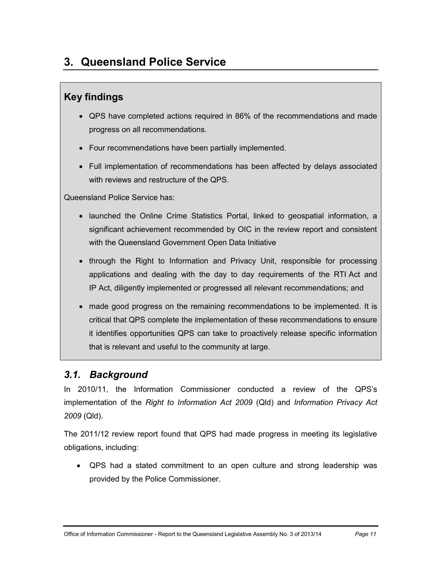# <span id="page-16-0"></span>**3. Queensland Police Service**

## **Key findings**

- QPS have completed actions required in 86% of the recommendations and made progress on all recommendations.
- Four recommendations have been partially implemented.
- Full implementation of recommendations has been affected by delays associated with reviews and restructure of the QPS.

Queensland Police Service has:

- launched the Online Crime Statistics Portal, linked to geospatial information, a significant achievement recommended by OIC in the review report and consistent with the Queensland Government Open Data Initiative
- through the Right to Information and Privacy Unit, responsible for processing applications and dealing with the day to day requirements of the RTI Act and IP Act, diligently implemented or progressed all relevant recommendations; and
- made good progress on the remaining recommendations to be implemented. It is critical that QPS complete the implementation of these recommendations to ensure it identifies opportunities QPS can take to proactively release specific information that is relevant and useful to the community at large.

## <span id="page-16-1"></span>*3.1. Background*

In 2010/11, the Information Commissioner conducted a review of the QPS's implementation of the *Right to Information Act 2009* (Qld) and *Information Privacy Act 2009* (Qld).

The 2011/12 review report found that QPS had made progress in meeting its legislative obligations, including:

 QPS had a stated commitment to an open culture and strong leadership was provided by the Police Commissioner.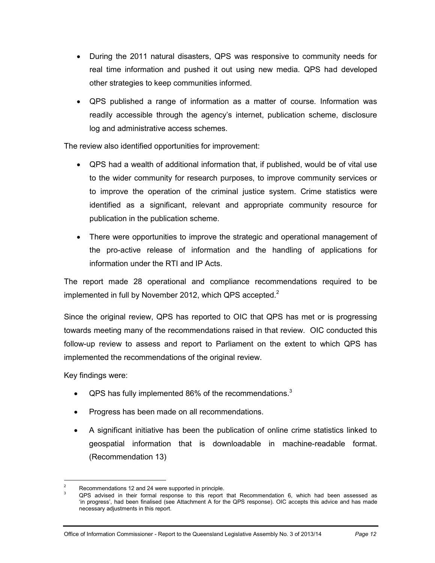- During the 2011 natural disasters, QPS was responsive to community needs for real time information and pushed it out using new media. QPS had developed other strategies to keep communities informed.
- QPS published a range of information as a matter of course. Information was readily accessible through the agency's internet, publication scheme, disclosure log and administrative access schemes.

The review also identified opportunities for improvement:

- QPS had a wealth of additional information that, if published, would be of vital use to the wider community for research purposes, to improve community services or to improve the operation of the criminal justice system. Crime statistics were identified as a significant, relevant and appropriate community resource for publication in the publication scheme.
- There were opportunities to improve the strategic and operational management of the pro-active release of information and the handling of applications for information under the RTI and IP Acts.

The report made 28 operational and compliance recommendations required to be implemented in full by November 2012, which QPS accepted. $2^2$ 

Since the original review, QPS has reported to OIC that QPS has met or is progressing towards meeting many of the recommendations raised in that review. OIC conducted this follow-up review to assess and report to Parliament on the extent to which QPS has implemented the recommendations of the original review.

Key findings were:

- <span id="page-17-0"></span>QPS has fully implemented 86% of the recommendations.<sup>3</sup>
- Progress has been made on all recommendations.
- A significant initiative has been the publication of online crime statistics linked to geospatial information that is downloadable in machine-readable format. (Recommendation 13)

 $\overline{2}$ Recommendations 12 and 24 were supported in principle.

<sup>3</sup> QPS advised in their formal response to this report that Recommendation 6, which had been assessed as 'in progress', had been finalised (see Attachment A for the QPS response). OIC accepts this advice and has made necessary adjustments in this report.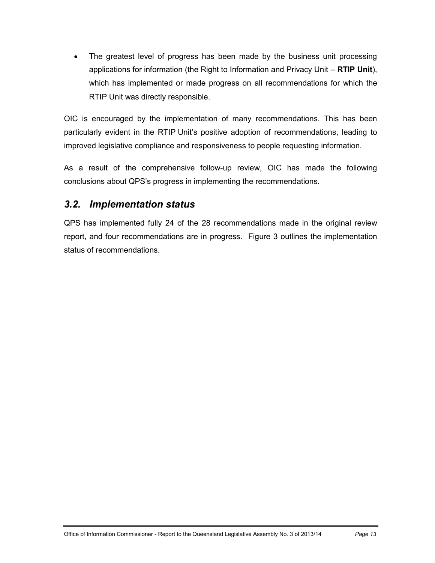The greatest level of progress has been made by the business unit processing applications for information (the Right to Information and Privacy Unit – **RTIP Unit**), which has implemented or made progress on all recommendations for which the RTIP Unit was directly responsible.

OIC is encouraged by the implementation of many recommendations. This has been particularly evident in the RTIP Unit's positive adoption of recommendations, leading to improved legislative compliance and responsiveness to people requesting information.

As a result of the comprehensive follow-up review, OIC has made the following conclusions about QPS's progress in implementing the recommendations.

## <span id="page-18-0"></span>*3.2. Implementation status*

QPS has implemented fully 24 of the 28 recommendations made in the original review report, and four recommendations are in progress. Figure 3 outlines the implementation status of recommendations.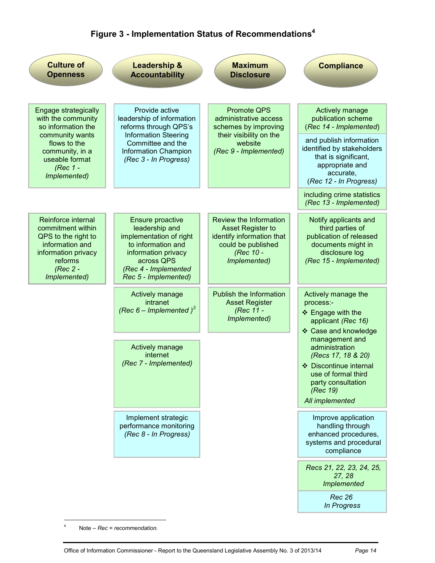# **Figure 3 - Implementation Status of Recommendations<sup>4</sup>**

| <b>Culture of</b><br><b>Openness</b>                                                                                                                                 | <b>Leadership &amp;</b><br><b>Accountability</b>                                                                                                                                 | <b>Maximum</b><br><b>Disclosure</b>                                                                                                       | <b>Compliance</b>                                                                                                                                                                    |
|----------------------------------------------------------------------------------------------------------------------------------------------------------------------|----------------------------------------------------------------------------------------------------------------------------------------------------------------------------------|-------------------------------------------------------------------------------------------------------------------------------------------|--------------------------------------------------------------------------------------------------------------------------------------------------------------------------------------|
| Engage strategically<br>with the community<br>so information the<br>community wants<br>flows to the<br>community, in a<br>useable format<br>(Rec 1 -<br>Implemented) | Provide active<br>leadership of information<br>reforms through QPS's<br><b>Information Steering</b><br>Committee and the<br><b>Information Champion</b><br>(Rec 3 - In Progress) | <b>Promote QPS</b><br>administrative access<br>schemes by improving<br>their visibility on the<br>website<br>(Rec 9 - Implemented)        | Actively manage<br>publication scheme<br>(Rec 14 - Implemented)<br>and publish information<br>identified by stakeholders<br>that is significant,<br>appropriate and<br>accurate,     |
|                                                                                                                                                                      |                                                                                                                                                                                  |                                                                                                                                           | (Rec 12 - In Progress)<br>including crime statistics<br>(Rec 13 - Implemented)                                                                                                       |
| Reinforce internal<br>commitment within<br>QPS to the right to<br>information and<br>information privacy<br>reforms<br>(Rec 2 -<br>Implemented)                      | Ensure proactive<br>leadership and<br>implementation of right<br>to information and<br>information privacy<br>across QPS<br>(Rec 4 - Implemented<br>Rec 5 - Implemented)         | <b>Review the Information</b><br><b>Asset Register to</b><br>identify information that<br>could be published<br>(Rec 10 -<br>Implemented) | Notify applicants and<br>third parties of<br>publication of released<br>documents might in<br>disclosure log<br>(Rec 15 - Implemented)                                               |
|                                                                                                                                                                      | Actively manage<br>intranet<br>(Rec $6$ – Implemented) <sup>3</sup>                                                                                                              | Publish the Information<br><b>Asset Register</b><br>(Rec 11 -<br>Implemented)                                                             | Actively manage the<br>process:-<br>❖ Engage with the<br>applicant (Rec 16)                                                                                                          |
|                                                                                                                                                                      | Actively manage<br>internet<br>(Rec 7 - Implemented)                                                                                                                             |                                                                                                                                           | ❖ Case and knowledge<br>management and<br>administration<br>(Recs 17, 18 & 20)<br>❖ Discontinue internal<br>use of formal third<br>party consultation<br>(Rec 19)<br>All implemented |
|                                                                                                                                                                      | Implement strategic<br>performance monitoring<br>(Rec 8 - In Progress)                                                                                                           |                                                                                                                                           | Improve application<br>handling through<br>enhanced procedures,<br>systems and procedural<br>compliance                                                                              |
|                                                                                                                                                                      |                                                                                                                                                                                  |                                                                                                                                           | Recs 21, 22, 23, 24, 25,<br>27, 28<br>Implemented                                                                                                                                    |
|                                                                                                                                                                      |                                                                                                                                                                                  |                                                                                                                                           | <b>Rec 26</b><br>In Progress                                                                                                                                                         |

 $\frac{1}{4}$ Note – *Rec = recommendation.*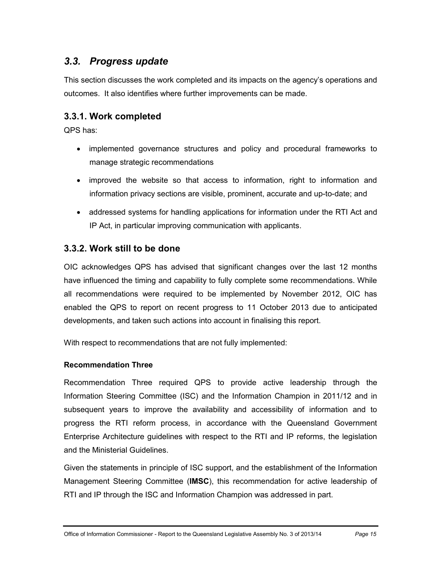## <span id="page-20-0"></span>*3.3. Progress update*

This section discusses the work completed and its impacts on the agency's operations and outcomes. It also identifies where further improvements can be made.

### <span id="page-20-1"></span>**3.3.1. Work completed**

QPS has:

- implemented governance structures and policy and procedural frameworks to manage strategic recommendations
- improved the website so that access to information, right to information and information privacy sections are visible, prominent, accurate and up-to-date; and
- addressed systems for handling applications for information under the RTI Act and IP Act, in particular improving communication with applicants.

### <span id="page-20-2"></span>**3.3.2. Work still to be done**

OIC acknowledges QPS has advised that significant changes over the last 12 months have influenced the timing and capability to fully complete some recommendations. While all recommendations were required to be implemented by November 2012, OIC has enabled the QPS to report on recent progress to 11 October 2013 due to anticipated developments, and taken such actions into account in finalising this report.

With respect to recommendations that are not fully implemented:

#### **Recommendation Three**

Recommendation Three required QPS to provide active leadership through the Information Steering Committee (ISC) and the Information Champion in 2011/12 and in subsequent years to improve the availability and accessibility of information and to progress the RTI reform process, in accordance with the Queensland Government Enterprise Architecture guidelines with respect to the RTI and IP reforms, the legislation and the Ministerial Guidelines.

Given the statements in principle of ISC support, and the establishment of the Information Management Steering Committee (**IMSC**), this recommendation for active leadership of RTI and IP through the ISC and Information Champion was addressed in part.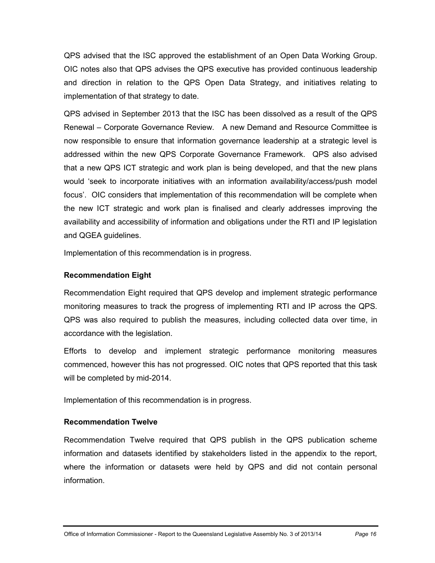QPS advised that the ISC approved the establishment of an Open Data Working Group. OIC notes also that QPS advises the QPS executive has provided continuous leadership and direction in relation to the QPS Open Data Strategy, and initiatives relating to implementation of that strategy to date.

QPS advised in September 2013 that the ISC has been dissolved as a result of the QPS Renewal – Corporate Governance Review. A new Demand and Resource Committee is now responsible to ensure that information governance leadership at a strategic level is addressed within the new QPS Corporate Governance Framework. QPS also advised that a new QPS ICT strategic and work plan is being developed, and that the new plans would 'seek to incorporate initiatives with an information availability/access/push model focus'. OIC considers that implementation of this recommendation will be complete when the new ICT strategic and work plan is finalised and clearly addresses improving the availability and accessibility of information and obligations under the RTI and IP legislation and QGEA guidelines.

Implementation of this recommendation is in progress.

#### **Recommendation Eight**

Recommendation Eight required that QPS develop and implement strategic performance monitoring measures to track the progress of implementing RTI and IP across the QPS. QPS was also required to publish the measures, including collected data over time, in accordance with the legislation.

Efforts to develop and implement strategic performance monitoring measures commenced, however this has not progressed. OIC notes that QPS reported that this task will be completed by mid-2014.

Implementation of this recommendation is in progress.

### **Recommendation Twelve**

Recommendation Twelve required that QPS publish in the QPS publication scheme information and datasets identified by stakeholders listed in the appendix to the report, where the information or datasets were held by QPS and did not contain personal information.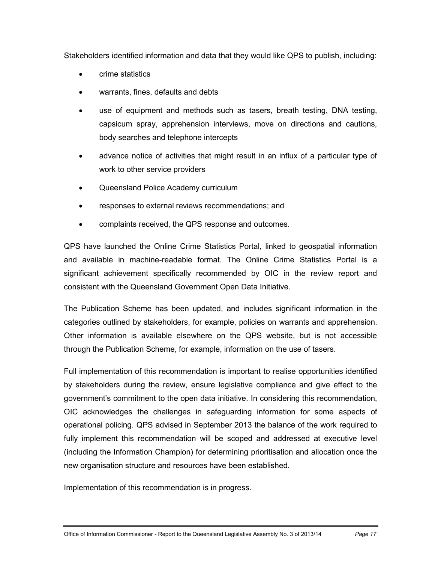Stakeholders identified information and data that they would like QPS to publish, including:

- crime statistics
- warrants, fines, defaults and debts
- use of equipment and methods such as tasers, breath testing, DNA testing, capsicum spray, apprehension interviews, move on directions and cautions, body searches and telephone intercepts
- advance notice of activities that might result in an influx of a particular type of work to other service providers
- Queensland Police Academy curriculum
- responses to external reviews recommendations; and
- complaints received, the QPS response and outcomes.

QPS have launched the Online Crime Statistics Portal, linked to geospatial information and available in machine-readable format. The Online Crime Statistics Portal is a significant achievement specifically recommended by OIC in the review report and consistent with the Queensland Government Open Data Initiative.

The Publication Scheme has been updated, and includes significant information in the categories outlined by stakeholders, for example, policies on warrants and apprehension. Other information is available elsewhere on the QPS website, but is not accessible through the Publication Scheme, for example, information on the use of tasers.

Full implementation of this recommendation is important to realise opportunities identified by stakeholders during the review, ensure legislative compliance and give effect to the government's commitment to the open data initiative. In considering this recommendation, OIC acknowledges the challenges in safeguarding information for some aspects of operational policing. QPS advised in September 2013 the balance of the work required to fully implement this recommendation will be scoped and addressed at executive level (including the Information Champion) for determining prioritisation and allocation once the new organisation structure and resources have been established.

Implementation of this recommendation is in progress.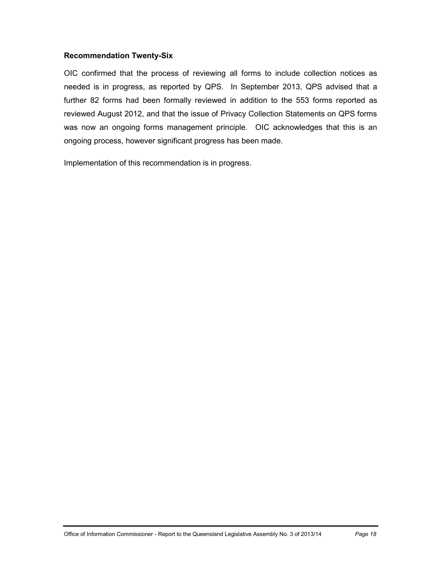#### **Recommendation Twenty-Six**

OIC confirmed that the process of reviewing all forms to include collection notices as needed is in progress, as reported by QPS. In September 2013, QPS advised that a further 82 forms had been formally reviewed in addition to the 553 forms reported as reviewed August 2012, and that the issue of Privacy Collection Statements on QPS forms was now an ongoing forms management principle. OIC acknowledges that this is an ongoing process, however significant progress has been made.

Implementation of this recommendation is in progress.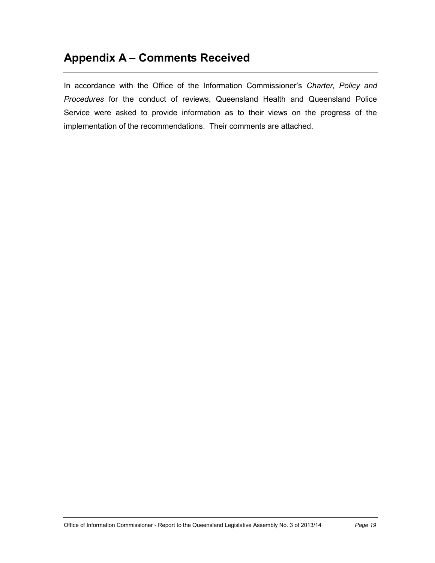# <span id="page-24-0"></span>**Appendix A – Comments Received**

In accordance with the Office of the Information Commissioner's *Charter, Policy and Procedures* for the conduct of reviews, Queensland Health and Queensland Police Service were asked to provide information as to their views on the progress of the implementation of the recommendations. Their comments are attached.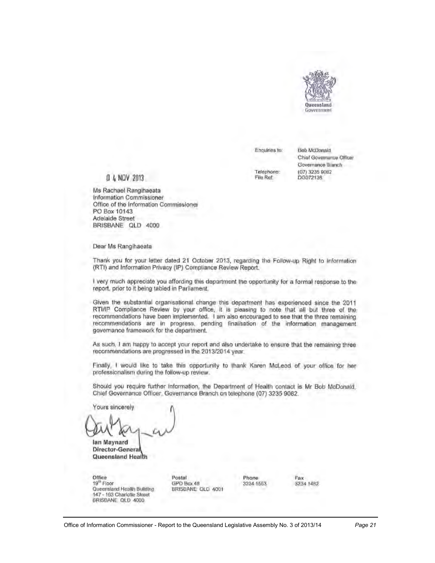

Enquiries to:

Telephone:

File Ref:

**Bob McDonald** Chief Governance Officer Governance Branch (07) 3235 9082 DG072136

#### 0 4 NOV 2013

Ms Rachael Rangihaeata Information Commissioner Office of the Information Commissioner PO Box 10143 Adelaide Street BRISBANE QLD 4000

Dear Ms Rangihaeata

Thank you for your letter dated 21 October 2013, regarding the Follow-up Right to Information (RTI) and Information Privacy (IP) Compliance Review Report.

I very much appreciate you affording this department the opportunity for a formal response to the report, prior to it being tabled in Parliament.

Given the substantial organisational change this department has experienced since the 2011 RTI/IP Compliance Review by your office, it is pleasing to note that all but three of the recommendations have been implemented. I am also encouraged to see that the three remaining recommendations are in progress, pending finalisation of the information management governance framework for the department.

As such, I am happy to accept your report and also undertake to ensure that the remaining three recommendations are progressed in the 2013/2014 year.

Finally, I would like to take this opportunity to thank Karen McLeod of your office for her professionalism during the follow-up review.

Should you require further information, the Department of Health contact is Mr Bob McDonald, Chief Governance Officer, Governance Branch on telephone (07) 3235 9082.

Yours sincerely

lan Maynard Director-General Queensland Health

Office 19<sup>th</sup> Floor Queensland Health Building 147 - 163 Charlotte Sheet BRISBANE QLD 4000

Postal GPO Box 48 BRISBANE GLD 4001 Phone 3234 1553 Fax 3234 1482